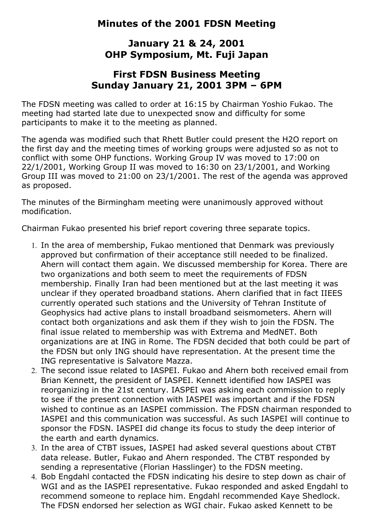# **Minutes of the 2001 FDSN Meeting**

# **January 21 & 24, 2001 OHP Symposium, Mt. Fuji Japan**

## **First FDSN Business Meeting Sunday January 21, 2001 3PM – 6PM**

The FDSN meeting was called to order at 16:15 by Chairman Yoshio Fukao. The meeting had started late due to unexpected snow and difficulty for some participants to make it to the meeting as planned.

The agenda was modified such that Rhett Butler could present the H2O report on the first day and the meeting times of working groups were adjusted so as not to conflict with some OHP functions. Working Group IV was moved to 17:00 on 22/1/2001, Working Group II was moved to 16:30 on 23/1/2001, and Working Group III was moved to 21:00 on 23/1/2001. The rest of the agenda was approved as proposed.

The minutes of the Birmingham meeting were unanimously approved without modification.

Chairman Fukao presented his brief report covering three separate topics.

- 1. In the area of membership, Fukao mentioned that Denmark was previously approved but confirmation of their acceptance still needed to be finalized. Ahern will contact them again. We discussed membership for Korea. There are two organizations and both seem to meet the requirements of FDSN membership. Finally Iran had been mentioned but at the last meeting it was unclear if they operated broadband stations. Ahern clarified that in fact IIEES currently operated such stations and the University of Tehran Institute of Geophysics had active plans to install broadband seismometers. Ahern will contact both organizations and ask them if they wish to join the FDSN. The final issue related to membership was with Extrema and MedNET. Both organizations are at ING in Rome. The FDSN decided that both could be part of the FDSN but only ING should have representation. At the present time the ING representative is Salvatore Mazza.
- 2. The second issue related to IASPEI. Fukao and Ahern both received email from Brian Kennett, the president of IASPEI. Kennett identified how IASPEI was reorganizing in the 21st century. IASPEI was asking each commission to reply to see if the present connection with IASPEI was important and if the FDSN wished to continue as an IASPEI commission. The FDSN chairman responded to IASPEI and this communication was successful. As such IASPEI will continue to sponsor the FDSN. IASPEI did change its focus to study the deep interior of the earth and earth dynamics.
- 3. In the area of CTBT issues, IASPEI had asked several questions about CTBT data release. Butler, Fukao and Ahern responded. The CTBT responded by sending a representative (Florian Hasslinger) to the FDSN meeting.
- 4. Bob Engdahl contacted the FDSN indicating his desire to step down as chair of WGI and as the IASPEI representative. Fukao responded and asked Engdahl to recommend someone to replace him. Engdahl recommended Kaye Shedlock. The FDSN endorsed her selection as WGI chair. Fukao asked Kennett to be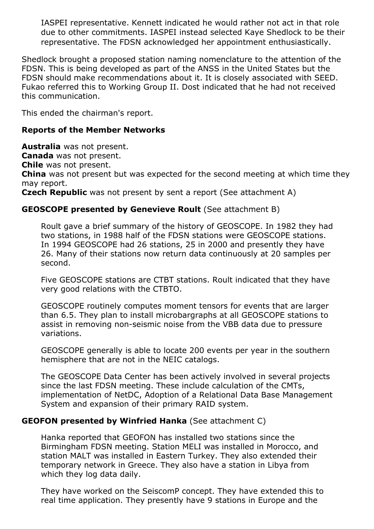IASPEI representative. Kennett indicated he would rather not act in that role due to other commitments. IASPEI instead selected Kaye Shedlock to be their representative. The FDSN acknowledged her appointment enthusiastically.

Shedlock brought a proposed station naming nomenclature to the attention of the FDSN. This is being developed as part of the ANSS in the United States but the FDSN should make recommendations about it. It is closely associated with SEED. Fukao referred this to Working Group II. Dost indicated that he had not received this communication.

This ended the chairman's report.

## **Reports of the Member Networks**

**Australia** was not present.

**Canada** was not present.

**Chile** was not present.

**China** was not present but was expected for the second meeting at which time they may report.

**Czech Republic** was not present by sent a report (See attachment A)

## **GEOSCOPE presented by Genevieve Roult** (See attachment B)

Roult gave a brief summary of the history of GEOSCOPE. In 1982 they had two stations, in 1988 half of the FDSN stations were GEOSCOPE stations. In 1994 GEOSCOPE had 26 stations, 25 in 2000 and presently they have 26. Many of their stations now return data continuously at 20 samples per second.

Five GEOSCOPE stations are CTBT stations. Roult indicated that they have very good relations with the CTBTO.

GEOSCOPE routinely computes moment tensors for events that are larger than 6.5. They plan to install microbargraphs at all GEOSCOPE stations to assist in removing non-seismic noise from the VBB data due to pressure variations.

GEOSCOPE generally is able to locate 200 events per year in the southern hemisphere that are not in the NEIC catalogs.

The GEOSCOPE Data Center has been actively involved in several projects since the last FDSN meeting. These include calculation of the CMTs, implementation of NetDC, Adoption of a Relational Data Base Management System and expansion of their primary RAID system.

## **GEOFON presented by Winfried Hanka** (See attachment C)

Hanka reported that GEOFON has installed two stations since the Birmingham FDSN meeting. Station MELI was installed in Morocco, and station MALT was installed in Eastern Turkey. They also extended their temporary network in Greece. They also have a station in Libya from which they log data daily.

They have worked on the SeiscomP concept. They have extended this to real time application. They presently have 9 stations in Europe and the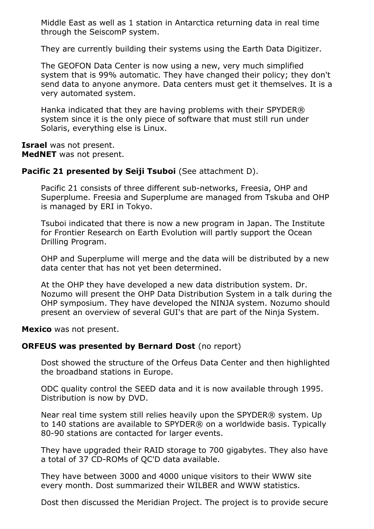Middle East as well as 1 station in Antarctica returning data in real time through the SeiscomP system.

They are currently building their systems using the Earth Data Digitizer.

The GEOFON Data Center is now using a new, very much simplified system that is 99% automatic. They have changed their policy; they don't send data to anyone anymore. Data centers must get it themselves. It is a very automated system.

Hanka indicated that they are having problems with their SPYDER® system since it is the only piece of software that must still run under Solaris, everything else is Linux.

**Israel** was not present. **MedNET** was not present.

#### **Pacific 21 presented by Seiji Tsuboi** (See attachment D).

Pacific 21 consists of three different sub-networks, Freesia, OHP and Superplume. Freesia and Superplume are managed from Tskuba and OHP is managed by ERI in Tokyo.

Tsuboi indicated that there is now a new program in Japan. The Institute for Frontier Research on Earth Evolution will partly support the Ocean Drilling Program.

OHP and Superplume will merge and the data will be distributed by a new data center that has not yet been determined.

At the OHP they have developed a new data distribution system. Dr. Nozumo will present the OHP Data Distribution System in a talk during the OHP symposium. They have developed the NINJA system. Nozumo should present an overview of several GUI's that are part of the Ninja System.

**Mexico** was not present.

#### **ORFEUS was presented by Bernard Dost** (no report)

Dost showed the structure of the Orfeus Data Center and then highlighted the broadband stations in Europe.

ODC quality control the SEED data and it is now available through 1995. Distribution is now by DVD.

Near real time system still relies heavily upon the SPYDER® system. Up to 140 stations are available to SPYDER® on a worldwide basis. Typically 80-90 stations are contacted for larger events.

They have upgraded their RAID storage to 700 gigabytes. They also have a total of 37 CD-ROMs of QC'D data available.

They have between 3000 and 4000 unique visitors to their WWW site every month. Dost summarized their WILBER and WWW statistics.

Dost then discussed the Meridian Project. The project is to provide secure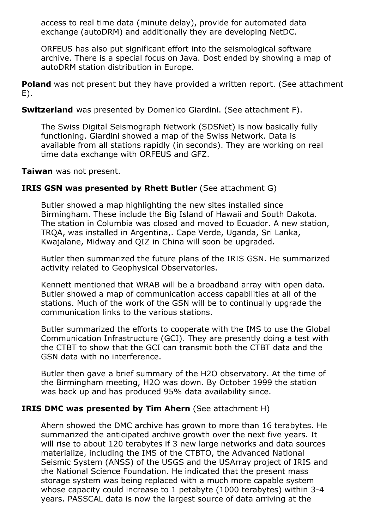access to real time data (minute delay), provide for automated data exchange (autoDRM) and additionally they are developing NetDC.

ORFEUS has also put significant effort into the seismological software archive. There is a special focus on Java. Dost ended by showing a map of autoDRM station distribution in Europe.

**Poland** was not present but they have provided a written report. (See attachment E).

**Switzerland** was presented by Domenico Giardini. (See attachment F).

The Swiss Digital Seismograph Network (SDSNet) is now basically fully functioning. Giardini showed a map of the Swiss Network. Data is available from all stations rapidly (in seconds). They are working on real time data exchange with ORFEUS and GFZ.

**Taiwan** was not present.

#### **IRIS GSN was presented by Rhett Butler** (See attachment G)

Butler showed a map highlighting the new sites installed since Birmingham. These include the Big Island of Hawaii and South Dakota. The station in Columbia was closed and moved to Ecuador. A new station, TRQA, was installed in Argentina,. Cape Verde, Uganda, Sri Lanka, Kwajalane, Midway and QIZ in China will soon be upgraded.

Butler then summarized the future plans of the IRIS GSN. He summarized activity related to Geophysical Observatories.

Kennett mentioned that WRAB will be a broadband array with open data. Butler showed a map of communication access capabilities at all of the stations. Much of the work of the GSN will be to continually upgrade the communication links to the various stations.

Butler summarized the efforts to cooperate with the IMS to use the Global Communication Infrastructure (GCI). They are presently doing a test with the CTBT to show that the GCI can transmit both the CTBT data and the GSN data with no interference.

Butler then gave a brief summary of the H2O observatory. At the time of the Birmingham meeting, H2O was down. By October 1999 the station was back up and has produced 95% data availability since.

## **IRIS DMC was presented by Tim Ahern** (See attachment H)

Ahern showed the DMC archive has grown to more than 16 terabytes. He summarized the anticipated archive growth over the next five years. It will rise to about 120 terabytes if 3 new large networks and data sources materialize, including the IMS of the CTBTO, the Advanced National Seismic System (ANSS) of the USGS and the USArray project of IRIS and the National Science Foundation. He indicated that the present mass storage system was being replaced with a much more capable system whose capacity could increase to 1 petabyte (1000 terabytes) within 3-4 years. PASSCAL data is now the largest source of data arriving at the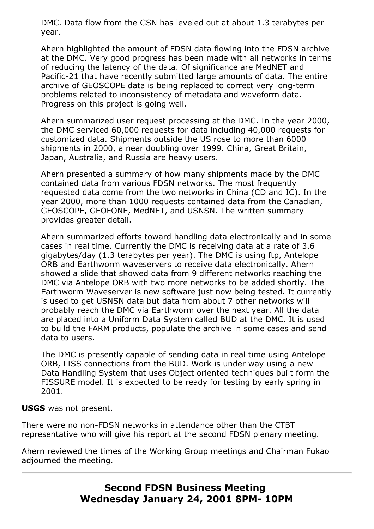DMC. Data flow from the GSN has leveled out at about 1.3 terabytes per year.

Ahern highlighted the amount of FDSN data flowing into the FDSN archive at the DMC. Very good progress has been made with all networks in terms of reducing the latency of the data. Of significance are MedNET and Pacific-21 that have recently submitted large amounts of data. The entire archive of GEOSCOPE data is being replaced to correct very long-term problems related to inconsistency of metadata and waveform data. Progress on this project is going well.

Ahern summarized user request processing at the DMC. In the year 2000, the DMC serviced 60,000 requests for data including 40,000 requests for customized data. Shipments outside the US rose to more than 6000 shipments in 2000, a near doubling over 1999. China, Great Britain, Japan, Australia, and Russia are heavy users.

Ahern presented a summary of how many shipments made by the DMC contained data from various FDSN networks. The most frequently requested data come from the two networks in China (CD and IC). In the year 2000, more than 1000 requests contained data from the Canadian, GEOSCOPE, GEOFONE, MedNET, and USNSN. The written summary provides greater detail.

Ahern summarized efforts toward handling data electronically and in some cases in real time. Currently the DMC is receiving data at a rate of 3.6 gigabytes/day (1.3 terabytes per year). The DMC is using ftp, Antelope ORB and Earthworm waveservers to receive data electronically. Ahern showed a slide that showed data from 9 different networks reaching the DMC via Antelope ORB with two more networks to be added shortly. The Earthworm Waveserver is new software just now being tested. It currently is used to get USNSN data but data from about 7 other networks will probably reach the DMC via Earthworm over the next year. All the data are placed into a Uniform Data System called BUD at the DMC. It is used to build the FARM products, populate the archive in some cases and send data to users.

The DMC is presently capable of sending data in real time using Antelope ORB, LISS connections from the BUD. Work is under way using a new Data Handling System that uses Object oriented techniques built form the FISSURE model. It is expected to be ready for testing by early spring in 2001.

#### **USGS** was not present.

There were no non-FDSN networks in attendance other than the CTBT representative who will give his report at the second FDSN plenary meeting.

Ahern reviewed the times of the Working Group meetings and Chairman Fukao adjourned the meeting.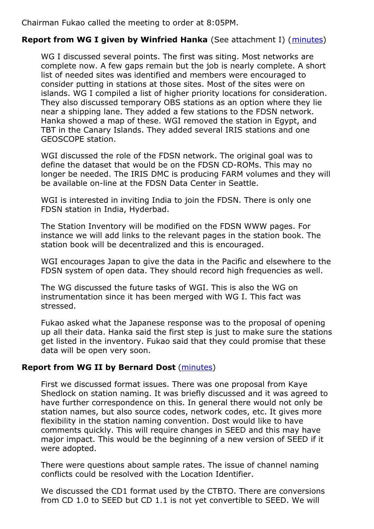Chairman Fukao called the meeting to order at 8:05PM.

## **Report from WG I given by Winfried Hanka** (See attachment I) ([minutes](/FDSNmeetings/2001/FDSNWGI_2001.htm))

WG I discussed several points. The first was siting. Most networks are complete now. A few gaps remain but the job is nearly complete. A short list of needed sites was identified and members were encouraged to consider putting in stations at those sites. Most of the sites were on islands. WG I compiled a list of higher priority locations for consideration. They also discussed temporary OBS stations as an option where they lie near a shipping lane. They added a few stations to the FDSN network. Hanka showed a map of these. WGI removed the station in Egypt, and TBT in the Canary Islands. They added several IRIS stations and one GEOSCOPE station.

WGI discussed the role of the FDSN network. The original goal was to define the dataset that would be on the FDSN CD-ROMs. This may no longer be needed. The IRIS DMC is producing FARM volumes and they will be available on-line at the FDSN Data Center in Seattle.

WGI is interested in inviting India to join the FDSN. There is only one FDSN station in India, Hyderbad.

The Station Inventory will be modified on the FDSN WWW pages. For instance we will add links to the relevant pages in the station book. The station book will be decentralized and this is encouraged.

WGI encourages Japan to give the data in the Pacific and elsewhere to the FDSN system of open data. They should record high frequencies as well.

The WG discussed the future tasks of WGI. This is also the WG on instrumentation since it has been merged with WG I. This fact was stressed.

Fukao asked what the Japanese response was to the proposal of opening up all their data. Hanka said the first step is just to make sure the stations get listed in the inventory. Fukao said that they could promise that these data will be open very soon.

## **Report from WG II by Bernard Dost** [\(minutes](/FDSNmeetings/2001/FDSNWG2_2001.htm))

First we discussed format issues. There was one proposal from Kaye Shedlock on station naming. It was briefly discussed and it was agreed to have further correspondence on this. In general there would not only be station names, but also source codes, network codes, etc. It gives more flexibility in the station naming convention. Dost would like to have comments quickly. This will require changes in SEED and this may have major impact. This would be the beginning of a new version of SEED if it were adopted.

There were questions about sample rates. The issue of channel naming conflicts could be resolved with the Location Identifier.

We discussed the CD1 format used by the CTBTO. There are conversions from CD 1.0 to SEED but CD 1.1 is not yet convertible to SEED. We will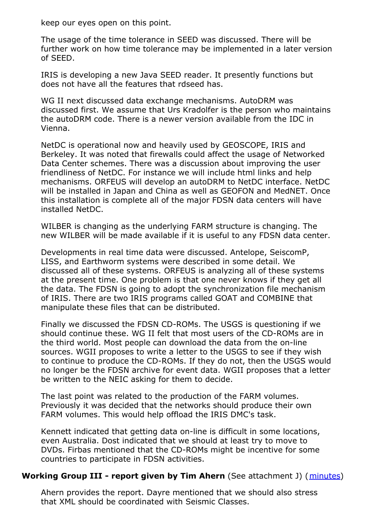keep our eyes open on this point.

The usage of the time tolerance in SEED was discussed. There will be further work on how time tolerance may be implemented in a later version of SEED.

IRIS is developing a new Java SEED reader. It presently functions but does not have all the features that rdseed has.

WG II next discussed data exchange mechanisms. AutoDRM was discussed first. We assume that Urs Kradolfer is the person who maintains the autoDRM code. There is a newer version available from the IDC in Vienna.

NetDC is operational now and heavily used by GEOSCOPE, IRIS and Berkeley. It was noted that firewalls could affect the usage of Networked Data Center schemes. There was a discussion about improving the user friendliness of NetDC. For instance we will include html links and help mechanisms. ORFEUS will develop an autoDRM to NetDC interface. NetDC will be installed in Japan and China as well as GEOFON and MedNET. Once this installation is complete all of the major FDSN data centers will have installed NetDC.

WILBER is changing as the underlying FARM structure is changing. The new WILBER will be made available if it is useful to any FDSN data center.

Developments in real time data were discussed. Antelope, SeiscomP, LISS, and Earthworm systems were described in some detail. We discussed all of these systems. ORFEUS is analyzing all of these systems at the present time. One problem is that one never knows if they get all the data. The FDSN is going to adopt the synchronization file mechanism of IRIS. There are two IRIS programs called GOAT and COMBINE that manipulate these files that can be distributed.

Finally we discussed the FDSN CD-ROMs. The USGS is questioning if we should continue these. WG II felt that most users of the CD-ROMs are in the third world. Most people can download the data from the on-line sources. WGII proposes to write a letter to the USGS to see if they wish to continue to produce the CD-ROMs. If they do not, then the USGS would no longer be the FDSN archive for event data. WGII proposes that a letter be written to the NEIC asking for them to decide.

The last point was related to the production of the FARM volumes. Previously it was decided that the networks should produce their own FARM volumes. This would help offload the IRIS DMC's task.

Kennett indicated that getting data on-line is difficult in some locations, even Australia. Dost indicated that we should at least try to move to DVDs. Firbas mentioned that the CD-ROMs might be incentive for some countries to participate in FDSN activities.

## **Working Group III - report given by Tim Ahern** (See attachment J) ([minutes](/FDSNmeetings/2001/FDSNWGIII_2001.htm))

Ahern provides the report. Dayre mentioned that we should also stress that XML should be coordinated with Seismic Classes.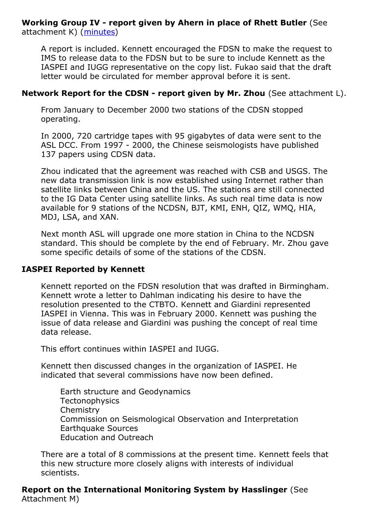**Working Group IV - report given by Ahern in place of Rhett Butler** (See attachment K) [\(minutes](/FDSNmeetings/2001/FDSNWGIV_2001.htm))

A report is included. Kennett encouraged the FDSN to make the request to IMS to release data to the FDSN but to be sure to include Kennett as the IASPEI and IUGG representative on the copy list. Fukao said that the draft letter would be circulated for member approval before it is sent.

#### **Network Report for the CDSN - report given by Mr. Zhou** (See attachment L).

From January to December 2000 two stations of the CDSN stopped operating.

In 2000, 720 cartridge tapes with 95 gigabytes of data were sent to the ASL DCC. From 1997 - 2000, the Chinese seismologists have published 137 papers using CDSN data.

Zhou indicated that the agreement was reached with CSB and USGS. The new data transmission link is now established using Internet rather than satellite links between China and the US. The stations are still connected to the IG Data Center using satellite links. As such real time data is now available for 9 stations of the NCDSN, BJT, KMI, ENH, QIZ, WMQ, HIA, MDJ, LSA, and XAN.

Next month ASL will upgrade one more station in China to the NCDSN standard. This should be complete by the end of February. Mr. Zhou gave some specific details of some of the stations of the CDSN.

#### **IASPEI Reported by Kennett**

Kennett reported on the FDSN resolution that was drafted in Birmingham. Kennett wrote a letter to Dahlman indicating his desire to have the resolution presented to the CTBTO. Kennett and Giardini represented IASPEI in Vienna. This was in February 2000. Kennett was pushing the issue of data release and Giardini was pushing the concept of real time data release.

This effort continues within IASPEI and IUGG.

Kennett then discussed changes in the organization of IASPEI. He indicated that several commissions have now been defined.

Earth structure and Geodynamics **Tectonophysics Chemistry** Commission on Seismological Observation and Interpretation Earthquake Sources Education and Outreach

There are a total of 8 commissions at the present time. Kennett feels that this new structure more closely aligns with interests of individual scientists.

**Report on the International Monitoring System by Hasslinger** (See Attachment M)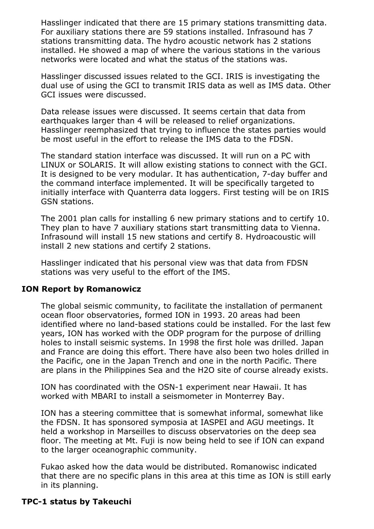Hasslinger indicated that there are 15 primary stations transmitting data. For auxiliary stations there are 59 stations installed. Infrasound has 7 stations transmitting data. The hydro acoustic network has 2 stations installed. He showed a map of where the various stations in the various networks were located and what the status of the stations was.

Hasslinger discussed issues related to the GCI. IRIS is investigating the dual use of using the GCI to transmit IRIS data as well as IMS data. Other GCI issues were discussed.

Data release issues were discussed. It seems certain that data from earthquakes larger than 4 will be released to relief organizations. Hasslinger reemphasized that trying to influence the states parties would be most useful in the effort to release the IMS data to the FDSN.

The standard station interface was discussed. It will run on a PC with LINUX or SOLARIS. It will allow existing stations to connect with the GCI. It is designed to be very modular. It has authentication, 7-day buffer and the command interface implemented. It will be specifically targeted to initially interface with Quanterra data loggers. First testing will be on IRIS GSN stations.

The 2001 plan calls for installing 6 new primary stations and to certify 10. They plan to have 7 auxiliary stations start transmitting data to Vienna. Infrasound will install 15 new stations and certify 8. Hydroacoustic will install 2 new stations and certify 2 stations.

Hasslinger indicated that his personal view was that data from FDSN stations was very useful to the effort of the IMS.

#### **ION Report by Romanowicz**

The global seismic community, to facilitate the installation of permanent ocean floor observatories, formed ION in 1993. 20 areas had been identified where no land-based stations could be installed. For the last few years, ION has worked with the ODP program for the purpose of drilling holes to install seismic systems. In 1998 the first hole was drilled. Japan and France are doing this effort. There have also been two holes drilled in the Pacific, one in the Japan Trench and one in the north Pacific. There are plans in the Philippines Sea and the H2O site of course already exists.

ION has coordinated with the OSN-1 experiment near Hawaii. It has worked with MBARI to install a seismometer in Monterrey Bay.

ION has a steering committee that is somewhat informal, somewhat like the FDSN. It has sponsored symposia at IASPEI and AGU meetings. It held a workshop in Marseilles to discuss observatories on the deep sea floor. The meeting at Mt. Fuji is now being held to see if ION can expand to the larger oceanographic community.

Fukao asked how the data would be distributed. Romanowisc indicated that there are no specific plans in this area at this time as ION is still early in its planning.

#### **TPC-1 status by Takeuchi**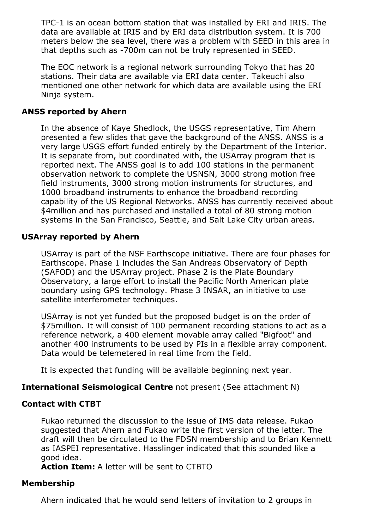TPC-1 is an ocean bottom station that was installed by ERI and IRIS. The data are available at IRIS and by ERI data distribution system. It is 700 meters below the sea level, there was a problem with SEED in this area in that depths such as -700m can not be truly represented in SEED.

The EOC network is a regional network surrounding Tokyo that has 20 stations. Their data are available via ERI data center. Takeuchi also mentioned one other network for which data are available using the ERI Ninja system.

## **ANSS reported by Ahern**

In the absence of Kaye Shedlock, the USGS representative, Tim Ahern presented a few slides that gave the background of the ANSS. ANSS is a very large USGS effort funded entirely by the Department of the Interior. It is separate from, but coordinated with, the USArray program that is reported next. The ANSS goal is to add 100 stations in the permanent observation network to complete the USNSN, 3000 strong motion free field instruments, 3000 strong motion instruments for structures, and 1000 broadband instruments to enhance the broadband recording capability of the US Regional Networks. ANSS has currently received about \$4million and has purchased and installed a total of 80 strong motion systems in the San Francisco, Seattle, and Salt Lake City urban areas.

## **USArray reported by Ahern**

USArray is part of the NSF Earthscope initiative. There are four phases for Earthscope. Phase 1 includes the San Andreas Observatory of Depth (SAFOD) and the USArray project. Phase 2 is the Plate Boundary Observatory, a large effort to install the Pacific North American plate boundary using GPS technology. Phase 3 INSAR, an initiative to use satellite interferometer techniques.

USArray is not yet funded but the proposed budget is on the order of \$75million. It will consist of 100 permanent recording stations to act as a reference network, a 400 element movable array called "Bigfoot" and another 400 instruments to be used by PIs in a flexible array component. Data would be telemetered in real time from the field.

It is expected that funding will be available beginning next year.

## **International Seismological Centre** not present (See attachment N)

## **Contact with CTBT**

Fukao returned the discussion to the issue of IMS data release. Fukao suggested that Ahern and Fukao write the first version of the letter. The draft will then be circulated to the FDSN membership and to Brian Kennett as IASPEI representative. Hasslinger indicated that this sounded like a good idea.

**Action Item:** A letter will be sent to CTBTO

## **Membership**

Ahern indicated that he would send letters of invitation to 2 groups in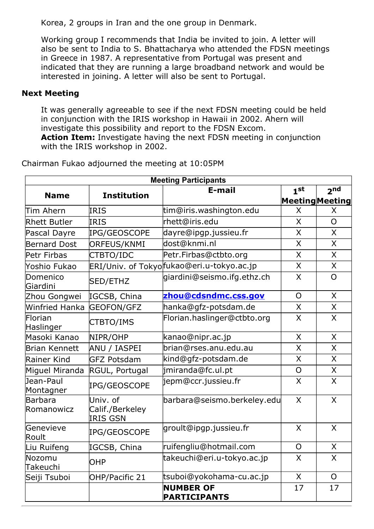Korea, 2 groups in Iran and the one group in Denmark.

Working group I recommends that India be invited to join. A letter will also be sent to India to S. Bhattacharya who attended the FDSN meetings in Greece in 1987. A representative from Portugal was present and indicated that they are running a large broadband network and would be interested in joining. A letter will also be sent to Portugal.

## **Next Meeting**

It was generally agreeable to see if the next FDSN meeting could be held in conjunction with the IRIS workshop in Hawaii in 2002. Ahern will investigate this possibility and report to the FDSN Excom.

**Action Item:** Investigate having the next FDSN meeting in conjunction with the IRIS workshop in 2002.

| <b>Meeting Participants</b> |                                                |                                           |                 |                                           |
|-----------------------------|------------------------------------------------|-------------------------------------------|-----------------|-------------------------------------------|
| <b>Name</b>                 | <b>Institution</b>                             | E-mail                                    | 1 <sub>st</sub> | 2 <sub>nd</sub><br><b>Meeting Meeting</b> |
| Tim Ahern                   | <b>IRIS</b>                                    | tim@iris.washington.edu                   | X               | X                                         |
| <b>Rhett Butler</b>         | <b>IRIS</b>                                    | rhett@iris.edu                            | $\overline{X}$  | $\Omega$                                  |
| Pascal Dayre                | IPG/GEOSCOPE                                   | dayre@ipgp.jussieu.fr                     | $\mathsf{X}$    | X                                         |
| <b>Bernard Dost</b>         | ORFEUS/KNMI                                    | dost@knmi.nl                              | X               | $\sf X$                                   |
| Petr Firbas                 | CTBTO/IDC                                      | Petr.Firbas@ctbto.org                     | X               | $\mathsf{X}$                              |
| Yoshio Fukao                |                                                | ERI/Univ. of Tokyofukao@eri.u-tokyo.ac.jp | X               | X                                         |
| Domenico<br>Giardini        | SED/ETHZ                                       | giardini@seismo.ifg.ethz.ch               | $\mathsf{X}$    | $\overline{O}$                            |
| Zhou Gongwei                | IGCSB, China                                   | zhou@cdsndmc.css.gov                      | $\overline{O}$  | $\mathsf{X}$                              |
| Winfried Hanka              | <b>GEOFON/GFZ</b>                              | hanka@gfz-potsdam.de                      | X               | X                                         |
| Florian<br>Haslinger        | CTBTO/IMS                                      | Florian.haslinger@ctbto.org               | X               | $\mathsf{X}$                              |
| Masoki Kanao                | NIPR/OHP                                       | kanao@nipr.ac.jp                          | $\mathsf{X}$    | X                                         |
| Brian Kennett               | ANU / IASPEI                                   | brian@rses.anu.edu.au                     | $\mathsf{X}$    | $\overline{\mathsf{X}}$                   |
| Rainer Kind                 | <b>GFZ Potsdam</b>                             | kind@gfz-potsdam.de                       | $\mathsf{X}$    | $\overline{X}$                            |
| Miguel Miranda              | RGUL, Portugal                                 | jmiranda@fc.ul.pt                         | $\overline{O}$  | $\overline{X}$                            |
| Jean-Paul<br>Montagner      | IPG/GEOSCOPE                                   | jepm@ccr.jussieu.fr                       | $\sf X$         | $\mathsf{X}$                              |
| Barbara<br>Romanowicz       | Univ. of<br>Calif./Berkeley<br><b>IRIS GSN</b> | barbara@seismo.berkeley.edu               | $\mathsf{X}$    | X                                         |
| Genevieve<br>Roult          | IPG/GEOSCOPE                                   | groult@ipgp.jussieu.fr                    | X               | X                                         |
| Liu Ruifeng                 | IGCSB, China                                   | ruifengliu@hotmail.com                    | $\overline{O}$  | $\mathsf{X}$                              |
| Nozomu<br>Takeuchi          | <b>OHP</b>                                     | takeuchi@eri.u-tokyo.ac.jp                | $\mathsf{X}$    | $\overline{\mathsf{X}}$                   |
| Seiji Tsuboi                | OHP/Pacific 21                                 | tsuboi@yokohama-cu.ac.jp                  | $\overline{X}$  | $\overline{O}$                            |
|                             |                                                | <b>NUMBER OF</b><br><b>PARTICIPANTS</b>   | 17              | 17                                        |

Chairman Fukao adjourned the meeting at 10:05PM